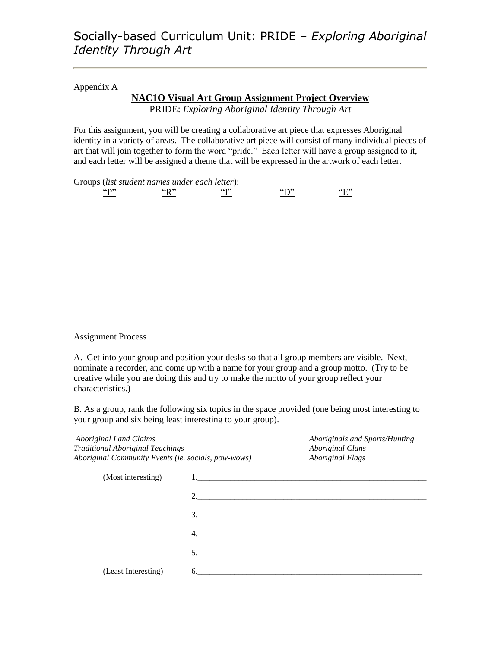#### Appendix A

#### **NAC1O Visual Art Group Assignment Project Overview** PRIDE: *Exploring Aboriginal Identity Through Art*

For this assignment, you will be creating a collaborative art piece that expresses Aboriginal identity in a variety of areas. The collaborative art piece will consist of many individual pieces of art that will join together to form the word "pride." Each letter will have a group assigned to it, and each letter will be assigned a theme that will be expressed in the artwork of each letter.

Groups (*list student names under each letter*):

" $\frac{P''}{P}$  "R" "I" "D" "E"

#### Assignment Process

A. Get into your group and position your desks so that all group members are visible. Next, nominate a recorder, and come up with a name for your group and a group motto. (Try to be creative while you are doing this and try to make the motto of your group reflect your characteristics.)

B. As a group, rank the following six topics in the space provided (one being most interesting to your group and six being least interesting to your group).

| <b>Aboriginal Land Claims</b><br><b>Traditional Aboriginal Teachings</b> |             | Aboriginals and Sports/Hunting<br><b>Aboriginal Clans</b> |  |  |
|--------------------------------------------------------------------------|-------------|-----------------------------------------------------------|--|--|
| Aboriginal Community Events (ie. socials, pow-wows)                      |             | <b>Aboriginal Flags</b>                                   |  |  |
| (Most interesting)                                                       |             |                                                           |  |  |
|                                                                          |             |                                                           |  |  |
|                                                                          |             | 3.                                                        |  |  |
|                                                                          |             |                                                           |  |  |
|                                                                          | $5^{\circ}$ |                                                           |  |  |
| (Least Interesting)                                                      |             | 6.                                                        |  |  |
|                                                                          |             |                                                           |  |  |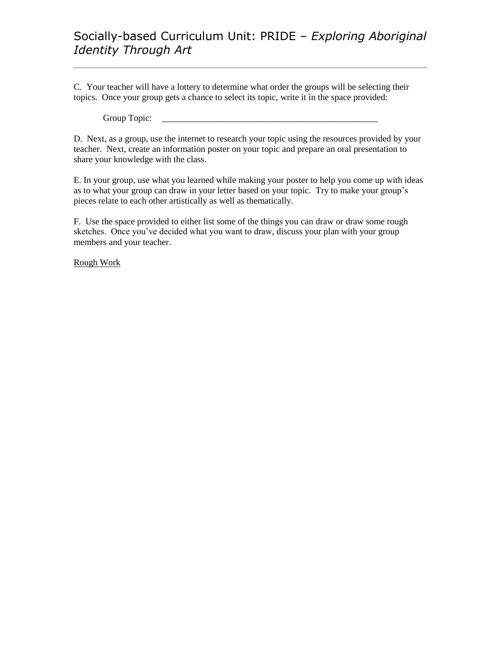### Socially-based Curriculum Unit: PRIDE – *Exploring Aboriginal Identity Through Art*

C. Your teacher will have a lottery to determine what order the groups will be selecting their topics. Once your group gets a chance to select its topic, write it in the space provided:

Group Topic:

D. Next, as a group, use the internet to research your topic using the resources provided by your teacher. Next, create an information poster on your topic and prepare an oral presentation to share your knowledge with the class.

E. In your group, use what you learned while making your poster to help you come up with ideas as to what your group can draw in your letter based on your topic. Try to make your group's pieces relate to each other artistically as well as thematically.

F. Use the space provided to either list some of the things you can draw or draw some rough sketches. Once you've decided what you want to draw, discuss your plan with your group members and your teacher.

Rough Work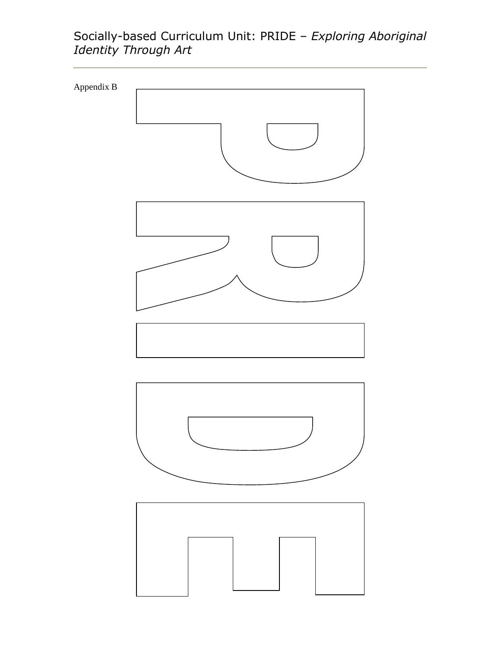### Socially-based Curriculum Unit: PRIDE – *Exploring Aboriginal Identity Through Art*

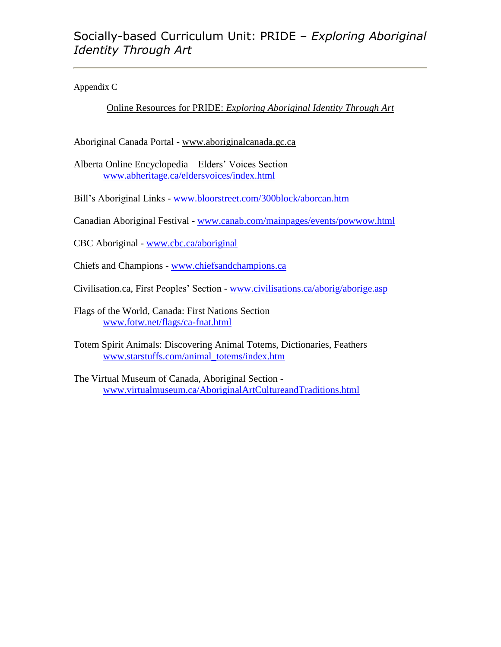Appendix C

Online Resources for PRIDE: *Exploring Aboriginal Identity Through Art*

Aboriginal Canada Portal - www.aboriginalcanada.gc.ca

Alberta Online Encyclopedia – Elders' Voices Section [www.abheritage.ca/eldersvoices/index.html](http://www.abheritage.ca/eldersvoices/index.html)

Bill's Aboriginal Links - [www.bloorstreet.com/300block/aborcan.htm](http://www.bloorstreet.com/300block/aborcan.htm)

Canadian Aboriginal Festival - [www.canab.com/mainpages/events/powwow.html](http://www.canab.com/mainpages/events/powwow.html)

CBC Aboriginal - [www.cbc.ca/aboriginal](http://www.cbc.ca/aboriginal)

Chiefs and Champions - [www.chiefsandchampions.ca](http://www.chiefsandchampions.ca/)

Civilisation.ca, First Peoples' Section - [www.civilisations.ca/aborig/aborige.asp](http://www.civilisations.ca/aborig/aborige.asp)

Flags of the World, Canada: First Nations Section [www.fotw.net/flags/ca-fnat.html](http://www.fotw.net/flags/ca-fnat.html)

Totem Spirit Animals: Discovering Animal Totems, Dictionaries, Feathers [www.starstuffs.com/animal\\_totems/index.htm](http://www.starstuffs.com/animal_totems/index.htm)

The Virtual Museum of Canada, Aboriginal Section [www.virtualmuseum.ca/AboriginalArtCultureandTraditions.html](http://www.virtualmuseum.ca/AboriginalArtCultureandTraditions.html)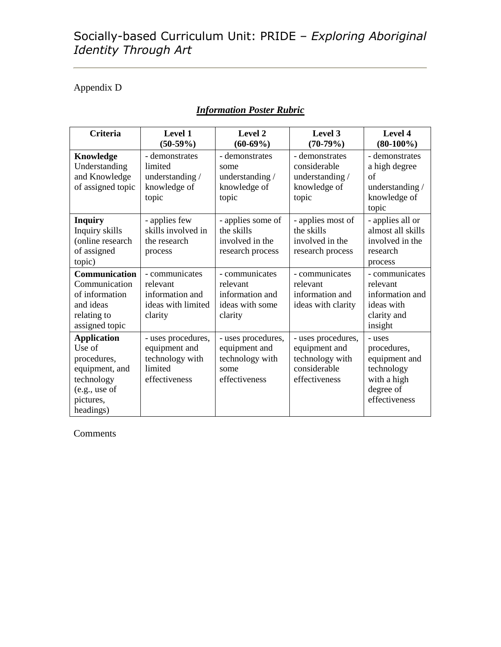## Socially-based Curriculum Unit: PRIDE – *Exploring Aboriginal Identity Through Art*

#### Appendix D

| <b>Criteria</b>                                                                                                        | Level 1<br>$(50-59%)$                                                              | Level 2<br>$(60-69%)$                                                           | Level 3<br>$(70-79%)$                                                                   | Level 4<br>$(80-100\%)$                                                                           |
|------------------------------------------------------------------------------------------------------------------------|------------------------------------------------------------------------------------|---------------------------------------------------------------------------------|-----------------------------------------------------------------------------------------|---------------------------------------------------------------------------------------------------|
| Knowledge<br>Understanding<br>and Knowledge<br>of assigned topic                                                       | - demonstrates<br>limited<br>understanding /<br>knowledge of<br>topic              | - demonstrates<br>some<br>understanding /<br>knowledge of<br>topic              | - demonstrates<br>considerable<br>understanding /<br>knowledge of<br>topic              | - demonstrates<br>a high degree<br>of<br>understanding /<br>knowledge of<br>topic                 |
| <b>Inquiry</b><br>Inquiry skills<br>(online research<br>of assigned<br>topic)                                          | - applies few<br>skills involved in<br>the research<br>process                     | - applies some of<br>the skills<br>involved in the<br>research process          | - applies most of<br>the skills<br>involved in the<br>research process                  | - applies all or<br>almost all skills<br>involved in the<br>research<br>process                   |
| <b>Communication</b><br>Communication<br>of information<br>and ideas<br>relating to<br>assigned topic                  | - communicates<br>relevant<br>information and<br>ideas with limited<br>clarity     | - communicates<br>relevant<br>information and<br>ideas with some<br>clarity     | - communicates<br>relevant<br>information and<br>ideas with clarity                     | - communicates<br>relevant<br>information and<br>ideas with<br>clarity and<br>insight             |
| <b>Application</b><br>Use of<br>procedures,<br>equipment, and<br>technology<br>(e.g., use of<br>pictures,<br>headings) | - uses procedures,<br>equipment and<br>technology with<br>limited<br>effectiveness | - uses procedures,<br>equipment and<br>technology with<br>some<br>effectiveness | - uses procedures,<br>equipment and<br>technology with<br>considerable<br>effectiveness | - uses<br>procedures,<br>equipment and<br>technology<br>with a high<br>degree of<br>effectiveness |

### *Information Poster Rubric*

Comments